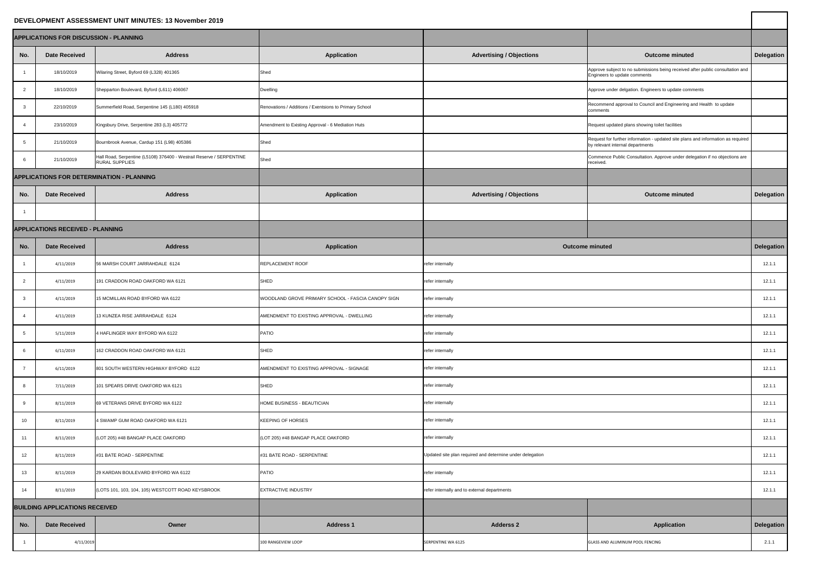## **DEVELOPMENT ASSESSMENT UNIT MINUTES: 13 November 2019**

| <b>PPLICATIONS FOR DISCUSSION - PLANNING</b> |                                      |                                                                                               |                                                        |                                                           |                                                                                                                      |                   |
|----------------------------------------------|--------------------------------------|-----------------------------------------------------------------------------------------------|--------------------------------------------------------|-----------------------------------------------------------|----------------------------------------------------------------------------------------------------------------------|-------------------|
| No.                                          | <b>Date Received</b>                 | <b>Address</b>                                                                                | <b>Application</b>                                     | <b>Advertising / Objections</b>                           | <b>Outcome minuted</b>                                                                                               | <b>Delegation</b> |
|                                              | 18/10/2019                           | Wilaring Street, Byford 69 (L328) 401365                                                      | Shed                                                   |                                                           | Approve subject to no submissions being received after public consultation and<br>Engineers to update comments       |                   |
|                                              | 18/10/2019                           | Shepparton Boulevard, Byford (L611) 406067                                                    | Dwelling                                               |                                                           | Approve under delgation. Engineers to update comments                                                                |                   |
|                                              | 22/10/2019                           | Summerfield Road, Serpentine 145 (L180) 405918                                                | Renovations / Additions / Exentsions to Primary School |                                                           | Recommend approval to Council and Engineering and Health to update<br>comments                                       |                   |
|                                              | 23/10/2019                           | Kingsbury Drive, Serpentine 283 (L3) 405772                                                   | Amendment to Existing Approval - 6 Mediation Huts      |                                                           | Request updated plans showing toilet facilities                                                                      |                   |
| 5 <sup>5</sup>                               | 21/10/2019                           | Bournbrook Avenue, Cardup 151 (L98) 405386                                                    | <b>Shed</b>                                            |                                                           | Request for further information - updated site plans and information as required<br>by relevant internal departments |                   |
|                                              | 21/10/2019                           | Hall Road, Serpentine (L5108) 376400 - Westrail Reserve / SERPENTINE<br><b>RURAL SUPPLIES</b> | Shed                                                   |                                                           | Commence Public Consultation. Approve under delegation if no objections are<br>received.                             |                   |
|                                              |                                      | PPLICATIONS FOR DETERMINATION - PLANNING                                                      |                                                        |                                                           |                                                                                                                      |                   |
| No.                                          | <b>Date Received</b>                 | <b>Address</b>                                                                                | <b>Application</b>                                     | <b>Advertising / Objections</b>                           | <b>Outcome minuted</b>                                                                                               | <b>Delegation</b> |
| $\overline{1}$                               |                                      |                                                                                               |                                                        |                                                           |                                                                                                                      |                   |
| <b>PPLICATIONS RECEIVED - PLANNING</b>       |                                      |                                                                                               |                                                        |                                                           |                                                                                                                      |                   |
| No.                                          | <b>Date Received</b>                 | <b>Address</b>                                                                                | <b>Application</b>                                     | <b>Outcome minuted</b>                                    |                                                                                                                      | <b>Delegation</b> |
|                                              | 4/11/2019                            | 56 MARSH COURT JARRAHDALE 6124                                                                | <b>REPLACEMENT ROOF</b>                                | refer internally                                          |                                                                                                                      | 12.1.1            |
| $\overline{2}$                               | 4/11/2019                            | 191 CRADDON ROAD OAKFORD WA 6121                                                              | <b>SHED</b>                                            | refer internally                                          |                                                                                                                      | 12.1.1            |
| 3 <sup>1</sup>                               | 4/11/2019                            | 15 MCMILLAN ROAD BYFORD WA 6122                                                               | WOODLAND GROVE PRIMARY SCHOOL - FASCIA CANOPY SIGN     | refer internally                                          |                                                                                                                      | 12.1.1            |
| $\overline{4}$                               | 4/11/2019                            | 13 KUNZEA RISE JARRAHDALE 6124                                                                | AMENDMENT TO EXISTING APPROVAL - DWELLING              | refer internally                                          |                                                                                                                      | 12.1.1            |
| 5 <sup>5</sup>                               | 5/11/2019                            | 4 HAFLINGER WAY BYFORD WA 6122                                                                | <b>PATIO</b>                                           | refer internally                                          |                                                                                                                      | 12.1.1            |
| $6\overline{6}$                              | 6/11/2019                            | 162 CRADDON ROAD OAKFORD WA 6121                                                              | <b>SHED</b>                                            | refer internally                                          |                                                                                                                      | 12.1.1            |
| $\overline{7}$                               | 6/11/2019                            | 801 SOUTH WESTERN HIGHWAY BYFORD 6122                                                         | AMENDMENT TO EXISTING APPROVAL - SIGNAGE               | refer internally                                          |                                                                                                                      | 12.1.1            |
| 8                                            | 7/11/2019                            | 101 SPEARS DRIVE OAKFORD WA 6121                                                              | <b>SHED</b>                                            | refer internally                                          |                                                                                                                      | 12.1.1            |
| 9                                            | 8/11/2019                            | 69 VETERANS DRIVE BYFORD WA 6122                                                              | HOME BUSINESS - BEAUTICIAN                             | refer internally                                          |                                                                                                                      | 12.1.1            |
| 10 <sub>1</sub>                              | 8/11/2019                            | 4 SWAMP GUM ROAD OAKFORD WA 6121                                                              | <b>KEEPING OF HORSES</b>                               | refer internally                                          |                                                                                                                      | 12.1.1            |
| 11                                           | 8/11/2019                            | (LOT 205) #48 BANGAP PLACE OAKFORD                                                            | (LOT 205) #48 BANGAP PLACE OAKFORD                     | refer internally                                          |                                                                                                                      | 12.1.1            |
| 12                                           | 8/11/2019                            | #31 BATE ROAD - SERPENTINE                                                                    | #31 BATE ROAD - SERPENTINE                             | Updated site plan required and determine under delegation |                                                                                                                      | 12.1.1            |
| 13                                           | 8/11/2019                            | 29 KARDAN BOULEVARD BYFORD WA 6122                                                            | <b>PATIO</b>                                           | refer internally                                          |                                                                                                                      | 12.1.1            |
| 14                                           | 8/11/2019                            | (LOTS 101, 103, 104, 105) WESTCOTT ROAD KEYSBROOK                                             | <b>EXTRACTIVE INDUSTRY</b>                             | refer internally and to external departments              |                                                                                                                      | 12.1.1            |
|                                              | <b>JILDING APPLICATIONS RECEIVED</b> |                                                                                               |                                                        |                                                           |                                                                                                                      |                   |
| No.                                          | <b>Date Received</b>                 | Owner                                                                                         | <b>Address 1</b>                                       | <b>Adderss 2</b>                                          | <b>Application</b>                                                                                                   | <b>Delegation</b> |
|                                              | 4/11/2019                            |                                                                                               | 100 RANGEVIEW LOOP                                     | SERPENTINE WA 6125                                        | GLASS AND ALUMINUM POOL FENCING                                                                                      | 2.1.1             |
|                                              |                                      |                                                                                               |                                                        |                                                           |                                                                                                                      |                   |

| <b>Delegation</b> |
|-------------------|
|                   |
|                   |
|                   |
|                   |
|                   |
|                   |
|                   |
|                   |
| Delegation        |
|                   |
|                   |
|                   |
| <b>Delegation</b> |
| 12.1.1            |
| 12.1.1            |
| 12.1.1            |
| 12.1.1            |
| 12.1.1            |
| 12.1.1            |
| 12.1.1            |
| 12.1.1            |
| 12.1.1            |
| 12.1.1            |
| 12.1.1            |
| 12.1.1            |
| 12.1.1            |
| 12.1.1            |
|                   |
| <b>Delegation</b> |
| 2.1.1             |
|                   |

|                 | <b>APPLICATIONS FOR DISCUSSION - PLANNING</b> |                                                                                               |                                                        |                                                           |                                                                                                 |  |
|-----------------|-----------------------------------------------|-----------------------------------------------------------------------------------------------|--------------------------------------------------------|-----------------------------------------------------------|-------------------------------------------------------------------------------------------------|--|
| No.             | <b>Date Received</b>                          | <b>Address</b>                                                                                | <b>Application</b>                                     | <b>Advertising / Objections</b>                           | <b>Outcome minuted</b>                                                                          |  |
|                 | 18/10/2019                                    | Wilaring Street, Byford 69 (L328) 401365                                                      | Shed                                                   |                                                           | Approve subject to no submissions being received after p<br>Engineers to update comments        |  |
| $\overline{2}$  | 18/10/2019                                    | Shepparton Boulevard, Byford (L611) 406067                                                    | <b>Dwelling</b>                                        |                                                           | Approve under delgation. Engineers to update comments                                           |  |
| -3              | 22/10/2019                                    | Summerfield Road, Serpentine 145 (L180) 405918                                                | Renovations / Additions / Exentsions to Primary School |                                                           | Recommend approval to Council and Engineering and He<br>comments                                |  |
|                 | 23/10/2019                                    | Kingsbury Drive, Serpentine 283 (L3) 405772                                                   | Amendment to Existing Approval - 6 Mediation Huts      |                                                           | Request updated plans showing toilet facilities                                                 |  |
| -5              | 21/10/2019                                    | Bournbrook Avenue, Cardup 151 (L98) 405386                                                    | Shed                                                   |                                                           | Request for further information - updated site plans and ir<br>by relevant internal departments |  |
| 6               | 21/10/2019                                    | Hall Road, Serpentine (L5108) 376400 - Westrail Reserve / SERPENTINE<br><b>RURAL SUPPLIES</b> | Shed                                                   |                                                           | Commence Public Consultation. Approve under delegatio<br>received.                              |  |
|                 |                                               | <b>APPLICATIONS FOR DETERMINATION - PLANNING</b>                                              |                                                        |                                                           |                                                                                                 |  |
| No.             | <b>Date Received</b>                          | <b>Address</b>                                                                                | <b>Application</b>                                     | <b>Advertising / Objections</b>                           | <b>Outcome minuted</b>                                                                          |  |
|                 |                                               |                                                                                               |                                                        |                                                           |                                                                                                 |  |
|                 | <b>APPLICATIONS RECEIVED - PLANNING</b>       |                                                                                               |                                                        |                                                           |                                                                                                 |  |
| No.             | <b>Date Received</b>                          | <b>Address</b>                                                                                | <b>Application</b>                                     |                                                           | <b>Outcome minuted</b>                                                                          |  |
|                 | 4/11/2019                                     | 56 MARSH COURT JARRAHDALE 6124                                                                | <b>REPLACEMENT ROOF</b>                                | refer internally                                          |                                                                                                 |  |
| $\overline{2}$  | 4/11/2019                                     | 191 CRADDON ROAD OAKFORD WA 6121                                                              | SHED                                                   | refer internally                                          |                                                                                                 |  |
| $\mathbf{3}$    | 4/11/2019                                     | 15 MCMILLAN ROAD BYFORD WA 6122                                                               | WOODLAND GROVE PRIMARY SCHOOL - FASCIA CANOPY SIGN     | refer internally                                          |                                                                                                 |  |
|                 | 4/11/2019                                     | 13 KUNZEA RISE JARRAHDALE 6124                                                                | AMENDMENT TO EXISTING APPROVAL - DWELLING              | refer internally                                          |                                                                                                 |  |
| -5              | 5/11/2019                                     | 4 HAFLINGER WAY BYFORD WA 6122                                                                | <b>PATIO</b>                                           | refer internally                                          |                                                                                                 |  |
| 6               | 6/11/2019                                     | 162 CRADDON ROAD OAKFORD WA 6121                                                              | SHED                                                   | refer internally                                          |                                                                                                 |  |
|                 | 6/11/2019                                     | 801 SOUTH WESTERN HIGHWAY BYFORD 6122                                                         | AMENDMENT TO EXISTING APPROVAL - SIGNAGE               | refer internally                                          |                                                                                                 |  |
| 8               | 7/11/2019                                     | 101 SPEARS DRIVE OAKFORD WA 6121                                                              | <b>SHED</b>                                            | refer internally                                          |                                                                                                 |  |
| -9              | 8/11/2019                                     | 69 VETERANS DRIVE BYFORD WA 6122                                                              | <b>HOME BUSINESS - BEAUTICIAN</b>                      | refer internally                                          |                                                                                                 |  |
| 10 <sub>1</sub> | 8/11/2019                                     | 4 SWAMP GUM ROAD OAKFORD WA 6121                                                              | <b>KEEPING OF HORSES</b>                               | refer internally                                          |                                                                                                 |  |
| 11              | 8/11/2019                                     | (LOT 205) #48 BANGAP PLACE OAKFORD                                                            | (LOT 205) #48 BANGAP PLACE OAKFORD                     | refer internally                                          |                                                                                                 |  |
| 12              | 8/11/2019                                     | #31 BATE ROAD - SERPENTINE                                                                    | #31 BATE ROAD - SERPENTINE                             | Updated site plan required and determine under delegation |                                                                                                 |  |
| 13              | 8/11/2019                                     | 29 KARDAN BOULEVARD BYFORD WA 6122                                                            | <b>PATIO</b>                                           | refer internally                                          |                                                                                                 |  |
| 14              | 8/11/2019                                     | (LOTS 101, 103, 104, 105) WESTCOTT ROAD KEYSBROOK                                             | <b>EXTRACTIVE INDUSTRY</b>                             | refer internally and to external departments              |                                                                                                 |  |
|                 | <b>BUILDING APPLICATIONS RECEIVED</b>         |                                                                                               |                                                        |                                                           |                                                                                                 |  |
| No.             | <b>Date Received</b>                          | Owner                                                                                         | <b>Address 1</b>                                       | <b>Adderss 2</b>                                          | <b>Application</b>                                                                              |  |
|                 | 4/11/2019                                     |                                                                                               | 100 RANGEVIEW LOOP                                     | SERPENTINE WA 6125                                        | GLASS AND ALUMINUM POOL FENCING                                                                 |  |
|                 |                                               |                                                                                               |                                                        |                                                           |                                                                                                 |  |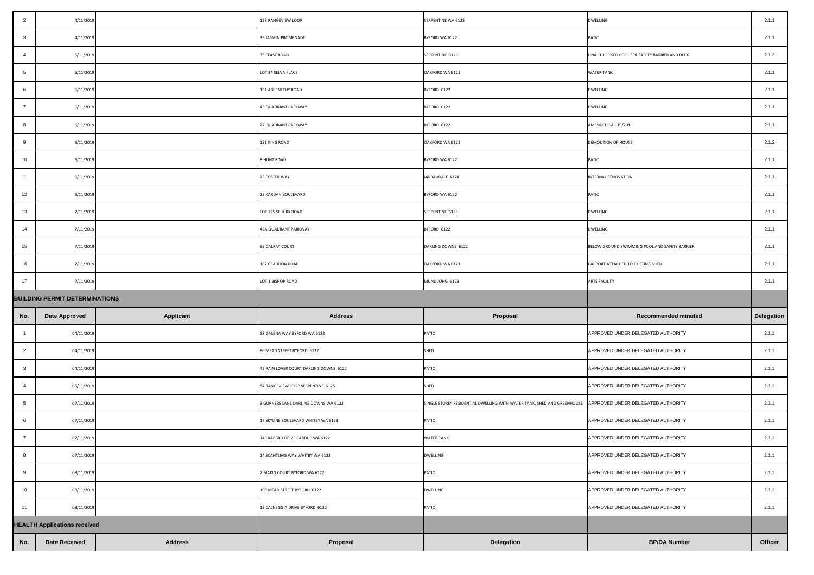| $\overline{2}$ | 4/11/2019                             |                  | 128 RANGEVIEW LOOP                     | SERPENTINE WA 6125                                                                                           | <b>DWELLING</b>                               | 2.1.1             |
|----------------|---------------------------------------|------------------|----------------------------------------|--------------------------------------------------------------------------------------------------------------|-----------------------------------------------|-------------------|
| 3 <sup>1</sup> | 4/11/2019                             |                  | 39 JASMIN PROMENADE                    | BYFORD WA 6122                                                                                               | PATIO                                         | 2.1.1             |
|                | 5/11/2019                             |                  | 35 FEAST ROAD                          | SERPENTINE 6125                                                                                              | UNAUTHORISED POOL SPA SAFETY BARRIER AND DECK | 2.1.3             |
| 5 <sup>5</sup> | 5/11/2019                             |                  | LOT 34 SELVA PLACE                     | OAKFORD WA 6121                                                                                              | <b>WATER TANK</b>                             | 2.1.1             |
| 6              | 5/11/2019                             |                  | 191 ABERNETHY ROAD                     | BYFORD 6122                                                                                                  | <b>DWELLING</b>                               | 2.1.1             |
| $\overline{7}$ | 6/11/2019                             |                  | 43 QUADRANT PARKWAY                    | BYFORD 6122                                                                                                  | <b>DWELLING</b>                               | 2.1.1             |
| 8              | 6/11/2019                             |                  | 27 QUADRANT PARKWAY                    | BYFORD 6122                                                                                                  | AMENDED BA - 19/299                           | 2.1.1             |
| 9              | 6/11/2019                             |                  | 121 KING ROAD                          | OAKFORD WA 6121                                                                                              | DEMOLITION OF HOUSE                           | 2.1.2             |
| 10             | 6/11/2019                             |                  | 8 HUNT ROAD                            | BYFORD WA 6122                                                                                               | PATIO                                         | 2.1.1             |
| 11             | 6/11/2019                             |                  | 25 FOSTER WAY                          | JARRAHDALE 6124                                                                                              | INTERNAL RENOVATION                           | 2.1.1             |
| 12             | 6/11/2019                             |                  | 29 KARDAN BOULEVARD                    | BYFORD WA 6122                                                                                               | <b>PATIO</b>                                  | 2.1.1             |
| 13             | 7/11/2019                             |                  | LOT 725 SELKIRK ROAD                   | SERPENTINE 6125                                                                                              | <b>DWELLING</b>                               | 2.1.1             |
| 14             | 7/11/2019                             |                  | 46A QUADRANT PARKWAY                   | BYFORD 6122                                                                                                  | <b>DWELLING</b>                               | 2.1.1             |
| 15             | 7/11/2019                             |                  | 92 DALRAY COURT                        | DARLING DOWNS 6122                                                                                           | BELOW GROUND SWIMMING POOL AND SAFETY BARRIER | 2.1.1             |
| 16             | 7/11/2019                             |                  | 162 CRADDON ROAD                       | OAKFORD WA 6121                                                                                              | CARPORT ATTACHED TO EXISTING SHED             | 2.1.1             |
| 17             | 7/11/2019                             |                  | LOT 1 BISHOP ROAD                      | MUNDIJONG 6123                                                                                               | <b>ARTS FACILITY</b>                          | 2.1.1             |
|                | <b>BUILDING PERMIT DETERMINATIONS</b> |                  |                                        |                                                                                                              |                                               |                   |
| No.            | <b>Date Approved</b>                  | <b>Applicant</b> | <b>Address</b>                         | Proposal                                                                                                     | <b>Recommended minuted</b>                    | <b>Delegation</b> |
|                | 04/11/2019                            |                  |                                        |                                                                                                              |                                               |                   |
|                |                                       |                  | 58 GALENA WAY BYFORD WA 6122           | <b>PATIO</b>                                                                                                 | APPROVED UNDER DELEGATED AUTHORITY            | 2.1.1             |
| $\overline{2}$ | 04/11/2019                            |                  | 80 MEAD STREET BYFORD 6122             | <b>SHED</b>                                                                                                  | APPROVED UNDER DELEGATED AUTHORITY            | 2.1.1             |
|                | 04/11/2019                            |                  | 45 RAIN LOVER COURT DARLING DOWNS 6122 | <b>PATIO</b>                                                                                                 | APPROVED UNDER DELEGATED AUTHORITY            | 2.1.1             |
|                | 05/11/2019                            |                  | 84 RANGEVIEW LOOP SERPENTINE 6125      | SHED                                                                                                         | APPROVED UNDER DELEGATED AUTHORITY            | 2.1.1             |
|                | 07/11/2019                            |                  | 3 GURNERS LANE DARLING DOWNS WA 6122   | SINGLE STOREY RESIDENTIAL DWELLING WITH WATER TANK, SHED AND GREENHOUSE   APPROVED UNDER DELEGATED AUTHORITY |                                               | 2.1.1             |
| -6             | 07/11/2019                            |                  | 17 SKYLINE BOULEVARD WHITBY WA 6123    | <b>PATIO</b>                                                                                                 | APPROVED UNDER DELEGATED AUTHORITY            | 2.1.1             |
|                | 07/11/2019                            |                  | 149 KARBRO DRIVE CARDUP WA 6122        | <b>WATER TANK</b>                                                                                            | APPROVED UNDER DELEGATED AUTHORITY            | 2.1.1             |
|                | 07/11/2019                            |                  | 14 SCANTLING WAY WHITBY WA 6123        | <b>DWELLING</b>                                                                                              | APPROVED UNDER DELEGATED AUTHORITY            | 2.1.1             |
| 9              | 08/11/2019                            |                  | 2 MAKIN COURT BYFORD WA 6122           | <b>PATIO</b>                                                                                                 | APPROVED UNDER DELEGATED AUTHORITY            | 2.1.1             |
| 10             | 08/11/2019                            |                  | 169 MEAD STREET BYFORD 6122            | <b>DWELLING</b>                                                                                              | APPROVED UNDER DELEGATED AUTHORITY            | 2.1.1             |
| 11             | 08/11/2019                            |                  | 18 CALNEGGIA DRIVE BYFORD 6122         | <b>PATIO</b>                                                                                                 | APPROVED UNDER DELEGATED AUTHORITY            | 2.1.1             |
|                | <b>HEALTH Applications received</b>   |                  |                                        |                                                                                                              |                                               |                   |